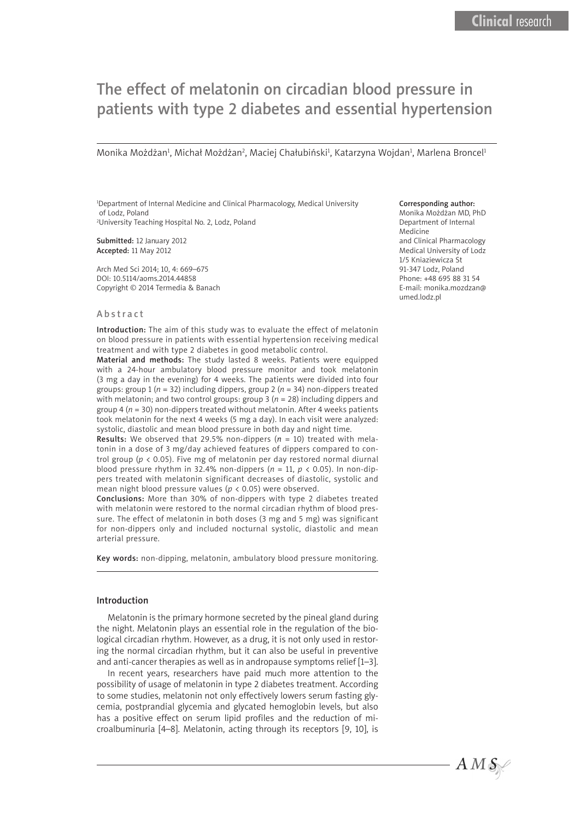# The effect of melatonin on circadian blood pressure in patients with type 2 diabetes and essential hypertension

Monika Możdżan<sup>1</sup>, Michał Możdżan<sup>2</sup>, Maciej Chałubiński<sup>1</sup>, Katarzyna Wojdan<sup>1</sup>, Marlena Broncel<sup>1</sup>

1 Department of Internal Medicine and Clinical Pharmacology, Medical University of Lodz, Poland 2 University Teaching Hospital No. 2, Lodz, Poland

Submitted: 12 January 2012 Accepted: 11 May 2012

Arch Med Sci 2014; 10, 4: 669–675 DOI: 10.5114/aoms.2014.44858 Copyright © 2014 Termedia & Banach

### Abstract

Introduction: The aim of this study was to evaluate the effect of melatonin on blood pressure in patients with essential hypertension receiving medical treatment and with type 2 diabetes in good metabolic control.

Material and methods: The study lasted 8 weeks. Patients were equipped with a 24-hour ambulatory blood pressure monitor and took melatonin (3 mg a day in the evening) for 4 weeks. The patients were divided into four groups: group 1 (*n* = 32) including dippers, group 2 (*n* = 34) non-dippers treated with melatonin; and two control groups: group 3 (*n* = 28) including dippers and group 4 (*n* = 30) non-dippers treated without melatonin. After 4 weeks patients took melatonin for the next 4 weeks (5 mg a day). In each visit were analyzed: systolic, diastolic and mean blood pressure in both day and night time.

**Results:** We observed that 29.5% non-dippers  $(n = 10)$  treated with melatonin in a dose of 3 mg/day achieved features of dippers compared to control group (*p* < 0.05). Five mg of melatonin per day restored normal diurnal blood pressure rhythm in 32.4% non-dippers ( $n = 11$ ,  $p < 0.05$ ). In non-dippers treated with melatonin significant decreases of diastolic, systolic and mean night blood pressure values (*p* < 0.05) were observed.

Conclusions: More than 30% of non-dippers with type 2 diabetes treated with melatonin were restored to the normal circadian rhythm of blood pressure. The effect of melatonin in both doses (3 mg and 5 mg) was significant for non-dippers only and included nocturnal systolic, diastolic and mean arterial pressure.

Key words: non-dipping, melatonin, ambulatory blood pressure monitoring.

## Introduction

Melatonin is the primary hormone secreted by the pineal gland during the night. Melatonin plays an essential role in the regulation of the biological circadian rhythm. However, as a drug, it is not only used in restoring the normal circadian rhythm, but it can also be useful in preventive and anti-cancer therapies as well as in andropause symptoms relief [1–3].

In recent years, researchers have paid much more attention to the possibility of usage of melatonin in type 2 diabetes treatment. According to some studies, melatonin not only effectively lowers serum fasting glycemia, postprandial glycemia and glycated hemoglobin levels, but also has a positive effect on serum lipid profiles and the reduction of microalbuminuria [4–8]. Melatonin, acting through its receptors [9, 10], is

#### Corresponding author: Monika Możdżan MD, PhD Department of Internal Medicine and Clinical Pharmacology

Medical University of Lodz 1/5 Kniaziewicza St 91-347 Lodz, Poland Phone: +48 695 88 31 54 E-mail: monika.mozdzan@ umed.lodz.pl

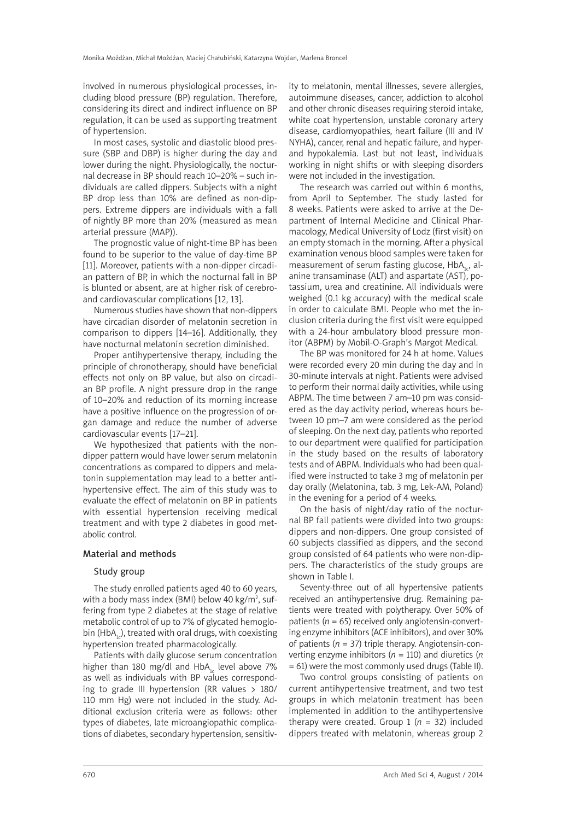involved in numerous physiological processes, including blood pressure (BP) regulation. Therefore, considering its direct and indirect influence on BP regulation, it can be used as supporting treatment of hypertension.

In most cases, systolic and diastolic blood pressure (SBP and DBP) is higher during the day and lower during the night. Physiologically, the nocturnal decrease in BP should reach 10–20% – such individuals are called dippers. Subjects with a night BP drop less than 10% are defined as non-dippers. Extreme dippers are individuals with a fall of nightly BP more than 20% (measured as mean arterial pressure (MAP)).

The prognostic value of night-time BP has been found to be superior to the value of day-time BP [11]. Moreover, patients with a non-dipper circadian pattern of BP, in which the nocturnal fall in BP is blunted or absent, are at higher risk of cerebroand cardiovascular complications [12, 13].

Numerous studies have shown that non-dippers have circadian disorder of melatonin secretion in comparison to dippers [14–16]. Additionally, they have nocturnal melatonin secretion diminished.

Proper antihypertensive therapy, including the principle of chronotherapy, should have beneficial effects not only on BP value, but also on circadian BP profile. A night pressure drop in the range of 10–20% and reduction of its morning increase have a positive influence on the progression of organ damage and reduce the number of adverse cardiovascular events [17–21].

We hypothesized that patients with the nondipper pattern would have lower serum melatonin concentrations as compared to dippers and melatonin supplementation may lead to a better antihypertensive effect. The aim of this study was to evaluate the effect of melatonin on BP in patients with essential hypertension receiving medical treatment and with type 2 diabetes in good metabolic control.

# Material and methods

# Study group

The study enrolled patients aged 40 to 60 years, with a body mass index (BMI) below 40 kg/m<sup>2</sup>, suffering from type 2 diabetes at the stage of relative metabolic control of up to 7% of glycated hemoglobin (HbA<sub>1c</sub>), treated with oral drugs, with coexisting hypertension treated pharmacologically.

Patients with daily glucose serum concentration higher than 180 mg/dl and  $HbA_i$  level above 7% as well as individuals with BP values corresponding to grade III hypertension (RR values  $> 180/$ 110 mm Hg) were not included in the study. Additional exclusion criteria were as follows: other types of diabetes, late microangiopathic complications of diabetes, secondary hypertension, sensitivity to melatonin, mental illnesses, severe allergies, autoimmune diseases, cancer, addiction to alcohol and other chronic diseases requiring steroid intake, white coat hypertension, unstable coronary artery disease, cardiomyopathies, heart failure (III and IV NYHA), cancer, renal and hepatic failure, and hyperand hypokalemia. Last but not least, individuals working in night shifts or with sleeping disorders were not included in the investigation.

The research was carried out within 6 months, from April to September. The study lasted for 8 weeks. Patients were asked to arrive at the Department of Internal Medicine and Clinical Pharmacology, Medical University of Lodz (first visit) on an empty stomach in the morning. After a physical examination venous blood samples were taken for measurement of serum fasting glucose, HbA, , alanine transaminase (ALT) and aspartate (AST), potassium, urea and creatinine. All individuals were weighed (0.1 kg accuracy) with the medical scale in order to calculate BMI. People who met the inclusion criteria during the first visit were equipped with a 24-hour ambulatory blood pressure monitor (ABPM) by Mobil-O-Graph's Margot Medical.

The BP was monitored for 24 h at home. Values were recorded every 20 min during the day and in 30-minute intervals at night. Patients were advised to perform their normal daily activities, while using ABPM. The time between 7 am–10 pm was considered as the day activity period, whereas hours between 10 pm–7 am were considered as the period of sleeping. On the next day, patients who reported to our department were qualified for participation in the study based on the results of laboratory tests and of ABPM. Individuals who had been qualified were instructed to take 3 mg of melatonin per day orally (Melatonina, tab. 3 mg, Lek-AM, Poland) in the evening for a period of 4 weeks.

On the basis of night/day ratio of the nocturnal BP fall patients were divided into two groups: dippers and non-dippers. One group consisted of 60 subjects classified as dippers, and the second group consisted of 64 patients who were non-dippers. The characteristics of the study groups are shown in Table I.

Seventy-three out of all hypertensive patients received an antihypertensive drug. Remaining patients were treated with polytherapy. Over 50% of patients ( $n = 65$ ) received only angiotensin-converting enzyme inhibitors (ACE inhibitors), and over 30% of patients (*n* = 37) triple therapy. Angiotensin-converting enzyme inhibitors (*n* = 110) and diuretics (*n* = 61) were the most commonly used drugs (Table II).

Two control groups consisting of patients on current antihypertensive treatment, and two test groups in which melatonin treatment has been implemented in addition to the antihypertensive therapy were created. Group  $1 (n = 32)$  included dippers treated with melatonin, whereas group 2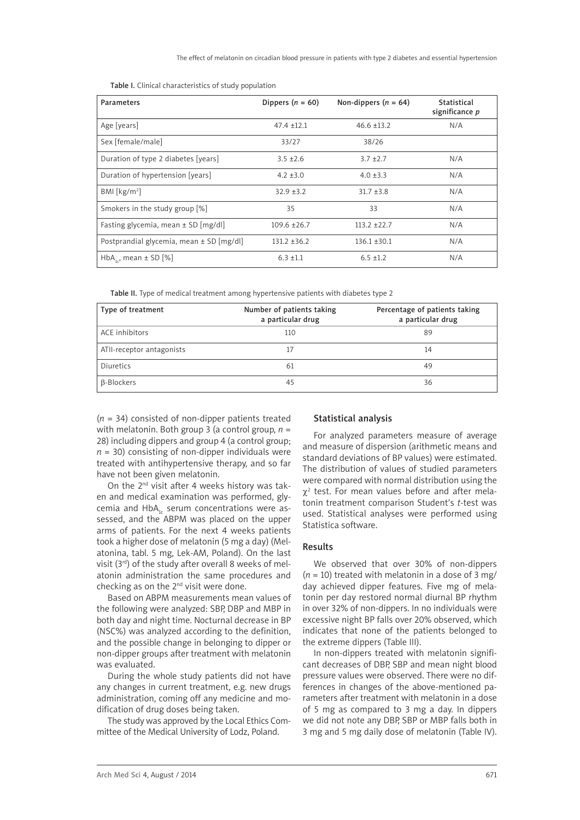| <b>Parameters</b>                        | Dippers $(n = 60)$ | Non-dippers $(n = 64)$ | <b>Statistical</b><br>significance p |
|------------------------------------------|--------------------|------------------------|--------------------------------------|
| Age [years]                              | $47.4 + 12.1$      | $46.6 \pm 13.2$        | N/A                                  |
| Sex [female/male]                        | 33/27              | 38/26                  |                                      |
| Duration of type 2 diabetes [years]      | $3.5 \pm 2.6$      | $3.7 + 2.7$            | N/A                                  |
| Duration of hypertension [years]         | $4.2 \pm 3.0$      | $4.0 \pm 3.3$          | N/A                                  |
| BMI [ $kg/m2$ ]                          | $32.9 + 3.2$       | $31.7 + 3.8$           | N/A                                  |
| Smokers in the study group [%]           | 35                 | 33                     | N/A                                  |
| Fasting glycemia, mean $\pm$ SD [mg/dl]  | $109.6 \pm 26.7$   | $113.2 + 22.7$         | N/A                                  |
| Postprandial glycemia, mean ± SD [mg/dl] | $131.2 \pm 36.2$   | $136.1 \pm 30.1$       | N/A                                  |
| HbA <sub>14</sub> , mean $\pm$ SD [%]    | $6.3 + 1.1$        | $6.5 + 1.2$            | N/A                                  |

Table I. Clinical characteristics of study population

Table II. Type of medical treatment among hypertensive patients with diabetes type 2

| Type of treatment         | Number of patients taking<br>a particular drug | Percentage of patients taking<br>a particular drug |
|---------------------------|------------------------------------------------|----------------------------------------------------|
| ACE inhibitors            | 110                                            | 89                                                 |
| ATII-receptor antagonists | 17                                             | 14                                                 |
| Diuretics                 | 61                                             | 49                                                 |
| <b>B-Blockers</b>         | 45                                             | 36                                                 |

(*n* = 34) consisted of non-dipper patients treated with melatonin. Both group 3 (a control group, *n* = 28) including dippers and group 4 (a control group;  $n = 30$ ) consisting of non-dipper individuals were treated with antihypertensive therapy, and so far have not been given melatonin.

On the 2<sup>nd</sup> visit after 4 weeks history was taken and medical examination was performed, glycemia and  $HbA_{1c}$  serum concentrations were assessed, and the ABPM was placed on the upper arms of patients. For the next 4 weeks patients took a higher dose of melatonin (5 mg a day) (Melatonina, tabl. 5 mg, Lek-AM, Poland). On the last visit (3rd) of the study after overall 8 weeks of melatonin administration the same procedures and checking as on the 2nd visit were done.

Based on ABPM measurements mean values of the following were analyzed: SBP, DBP and MBP in both day and night time. Nocturnal decrease in BP (NSC%) was analyzed according to the definition, and the possible change in belonging to dipper or non-dipper groups after treatment with melatonin was evaluated.

During the whole study patients did not have any changes in current treatment, e.g. new drugs administration, coming off any medicine and modification of drug doses being taken.

The study was approved by the Local Ethics Committee of the Medical University of Lodz, Poland.

### Statistical analysis

For analyzed parameters measure of average and measure of dispersion (arithmetic means and standard deviations of BP values) were estimated. The distribution of values of studied parameters were compared with normal distribution using the  $\chi^2$  test. For mean values before and after melatonin treatment comparison Student's *t*-test was used. Statistical analyses were performed using Statistica software.

### Results

We observed that over 30% of non-dippers (*n* = 10) treated with melatonin in a dose of 3 mg/ day achieved dipper features. Five mg of melatonin per day restored normal diurnal BP rhythm in over 32% of non-dippers. In no individuals were excessive night BP falls over 20% observed, which indicates that none of the patients belonged to the extreme dippers (Table III).

In non-dippers treated with melatonin significant decreases of DBP, SBP and mean night blood pressure values were observed. There were no differences in changes of the above-mentioned parameters after treatment with melatonin in a dose of 5 mg as compared to 3 mg a day. In dippers we did not note any DBP, SBP or MBP falls both in 3 mg and 5 mg daily dose of melatonin (Table IV).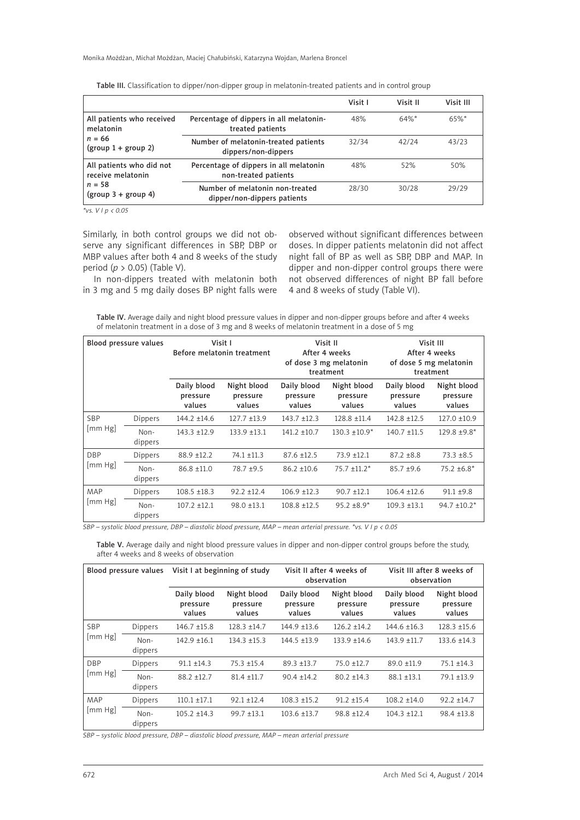Monika Możdżan, Michał Możdżan, Maciej Chałubiński, Katarzyna Wojdan, Marlena Broncel

|                                               |                                                                | Visit I | Visit II | Visit III |
|-----------------------------------------------|----------------------------------------------------------------|---------|----------|-----------|
| All patients who received<br>melatonin        | Percentage of dippers in all melatonin-<br>treated patients    | 48%     | $64\%$ * | $65%$ *   |
| $n = 66$<br>$(group 1 + group 2)$             | Number of melatonin-treated patients<br>dippers/non-dippers    | 32/34   | 42/24    | 43/23     |
| All patients who did not<br>receive melatonin | Percentage of dippers in all melatonin<br>non-treated patients | 48%     | 52%      | 50%       |
| $n = 58$<br>$(group 3 + group 4)$             | Number of melatonin non-treated<br>dipper/non-dippers patients | 28/30   | 30/28    | 29/29     |

|  |  | Table III. Classification to dipper/non-dipper group in melatonin-treated patients and in control group |  |  |  |  |  |
|--|--|---------------------------------------------------------------------------------------------------------|--|--|--|--|--|
|--|--|---------------------------------------------------------------------------------------------------------|--|--|--|--|--|

*\*vs. V I p < 0.05*

Similarly, in both control groups we did not observe any significant differences in SBP, DBP or MBP values after both 4 and 8 weeks of the study period (*p* > 0.05) (Table V).

In non-dippers treated with melatonin both in 3 mg and 5 mg daily doses BP night falls were observed without significant differences between doses. In dipper patients melatonin did not affect night fall of BP as well as SBP, DBP and MAP. In dipper and non-dipper control groups there were not observed differences of night BP fall before 4 and 8 weeks of study (Table VI).

Table IV. Average daily and night blood pressure values in dipper and non-dipper groups before and after 4 weeks of melatonin treatment in a dose of 3 mg and 8 weeks of melatonin treatment in a dose of 5 mg

| Blood pressure values        |                 |                                   | Visit I<br>Before melatonin treatment | Visit II<br>After 4 weeks<br>of dose 3 mg melatonin<br>treatment |                                   | Visit III<br>After 4 weeks<br>of dose 5 mg melatonin<br>treatment |                                   |
|------------------------------|-----------------|-----------------------------------|---------------------------------------|------------------------------------------------------------------|-----------------------------------|-------------------------------------------------------------------|-----------------------------------|
|                              |                 | Daily blood<br>pressure<br>values | Night blood<br>pressure<br>values     | Daily blood<br>pressure<br>values                                | Night blood<br>pressure<br>values | Daily blood<br>pressure<br>values                                 | Night blood<br>pressure<br>values |
| <b>SBP</b>                   | <b>Dippers</b>  | $144.2 \pm 14.6$                  | $127.7 \pm 13.9$                      | $143.7 + 12.3$                                                   | 128.8 ±11.4                       | $142.8 + 12.5$                                                    | $127.0 \pm 10.9$                  |
| $\lceil mm Hg \rceil$        | Non-<br>dippers | $143.3 \pm 12.9$                  | $133.9 + 13.1$                        | $141.2 \pm 10.7$                                                 | $130.3 \pm 10.9^*$                | $140.7 \pm 11.5$                                                  | $129.8 \pm 9.8^*$                 |
| <b>DBP</b>                   | <b>Dippers</b>  | $88.9 + 12.2$                     | 74.1 ±11.3                            | $87.6 \pm 12.5$                                                  | $73.9 + 12.1$                     | $87.2 \pm 8.8$                                                    | $73.3 \pm 8.5$                    |
| $\lfloor mm Hg \rfloor$      | Non-<br>dippers | $86.8 + 11.0$                     | $78.7 + 9.5$                          | $86.2 \pm 10.6$                                                  | $75.7 \pm 11.2^*$                 | $85.7 + 9.6$                                                      | $75.2 \pm 6.8^*$                  |
| MAP<br>$\lceil mm Hg \rceil$ | <b>Dippers</b>  | $108.5 \pm 18.3$                  | $92.2 \pm 12.4$                       | $106.9 \pm 12.3$                                                 | $90.7 + 12.1$                     | $106.4 \pm 12.6$                                                  | $91.1 \pm 9.8$                    |
|                              | Non-<br>dippers | $107.2 \pm 12.1$                  | $98.0 \pm 13.1$                       | 108.8 ±12.5                                                      | $95.2 \pm 8.9*$                   | $109.3 \pm 13.1$                                                  | $94.7 \pm 10.2^*$                 |

*SBP – systolic blood pressure, DBP – diastolic blood pressure, MAP – mean arterial pressure. \*vs. V I p < 0.05*

Table V. Average daily and night blood pressure values in dipper and non-dipper control groups before the study, after 4 weeks and 8 weeks of observation

| Blood pressure values        |                 |                                   | Visit I at beginning of study     | Visit II after 4 weeks of<br>observation |                                   | Visit III after 8 weeks of<br>observation |                                   |
|------------------------------|-----------------|-----------------------------------|-----------------------------------|------------------------------------------|-----------------------------------|-------------------------------------------|-----------------------------------|
|                              |                 | Daily blood<br>pressure<br>values | Night blood<br>pressure<br>values | Daily blood<br>pressure<br>values        | Night blood<br>pressure<br>values | Daily blood<br>pressure<br>values         | Night blood<br>pressure<br>values |
| <b>SBP</b>                   | <b>Dippers</b>  | $146.7 \pm 15.8$                  | $128.3 \pm 14.7$                  | $144.9 + 13.6$                           | $126.2 + 14.2$                    | $144.6 \pm 16.3$                          | $128.3 \pm 15.6$                  |
| [mm Hg]                      | Non-<br>dippers | $142.9 \pm 16.1$                  | $134.3 + 15.3$                    | $144.5 \pm 13.9$                         | $133.9 + 14.6$                    | 143.9 ±11.7                               | $133.6 \pm 14.3$                  |
| <b>DBP</b>                   | <b>Dippers</b>  | $91.1 \pm 14.3$                   | $75.3 \pm 15.4$                   | $89.3 \pm 13.7$                          | $75.0 + 12.7$                     | $89.0 + 11.9$                             | $75.1 \pm 14.3$                   |
| [mm Hg]                      | Non-<br>dippers | $88.2 + 12.7$                     | $81.4 \pm 11.7$                   | $90.4 \pm 14.2$                          | $80.2 \pm 14.3$                   | $88.1 \pm 13.1$                           | $79.1 \pm 13.9$                   |
| MAP<br>$\lceil mm Hg \rceil$ | <b>Dippers</b>  | $110.1 \pm 17.1$                  | $92.1 \pm 12.4$                   | $108.3 + 15.2$                           | $91.2 + 15.4$                     | $108.2 + 14.0$                            | $92.2 \pm 14.7$                   |
|                              | Non-<br>dippers | $105.2 \pm 14.3$                  | $99.7 + 13.1$                     | $103.6 \pm 13.7$                         | $98.8 + 12.4$                     | $104.3 \pm 12.1$                          | $98.4 \pm 13.8$                   |

*SBP – systolic blood pressure, DBP – diastolic blood pressure, MAP – mean arterial pressure*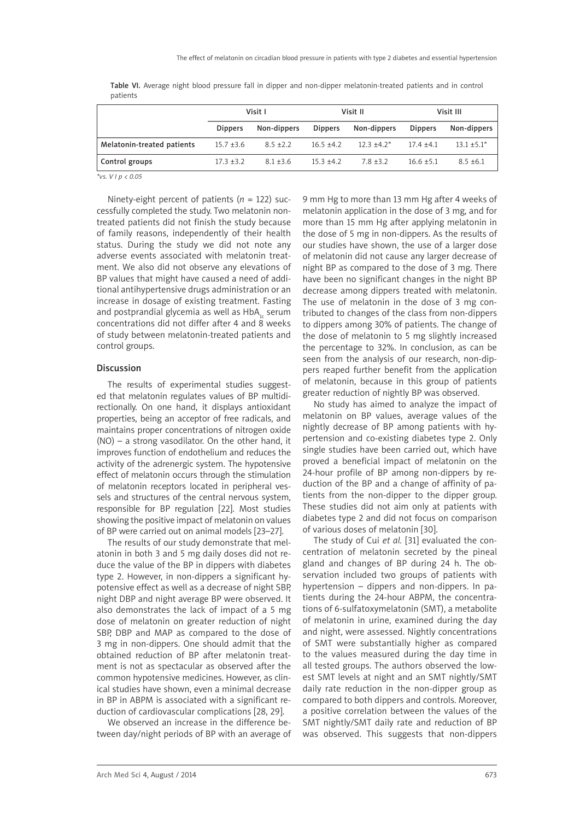|                            | Visit I        |               | Visit II       |                | Visit III      |                  |
|----------------------------|----------------|---------------|----------------|----------------|----------------|------------------|
|                            | <b>Dippers</b> | Non-dippers   | <b>Dippers</b> | Non-dippers    | <b>Dippers</b> | Non-dippers      |
| Melatonin-treated patients | $15.7 \pm 3.6$ | $8.5 \pm 2.2$ | $16.5 \pm 4.2$ | $12.3 + 4.2^*$ | $17.4 + 4.1$   | $13.1 \pm 5.1^*$ |
| Control groups             | $17.3 + 3.2$   | $8.1 + 3.6$   | $15.3 + 4.2$   | $7.8 + 3.2$    | $16.6 \pm 5.1$ | $8.5 + 6.1$      |

Table VI. Average night blood pressure fall in dipper and non-dipper melatonin-treated patients and in control patients

*\*vs. V I p < 0.05*

Ninety-eight percent of patients  $(n = 122)$  successfully completed the study. Two melatonin nontreated patients did not finish the study because of family reasons, independently of their health status. During the study we did not note any adverse events associated with melatonin treatment. We also did not observe any elevations of BP values that might have caused a need of additional antihypertensive drugs administration or an increase in dosage of existing treatment. Fasting and postprandial glycemia as well as  $HbA_{1c}$  serum concentrations did not differ after 4 and 8 weeks of study between melatonin-treated patients and control groups.

## Discussion

The results of experimental studies suggested that melatonin regulates values of BP multidirectionally. On one hand, it displays antioxidant properties, being an acceptor of free radicals, and maintains proper concentrations of nitrogen oxide (NO) – a strong vasodilator. On the other hand, it improves function of endothelium and reduces the activity of the adrenergic system. The hypotensive effect of melatonin occurs through the stimulation of melatonin receptors located in peripheral vessels and structures of the central nervous system, responsible for BP regulation [22]. Most studies showing the positive impact of melatonin on values of BP were carried out on animal models [23–27].

The results of our study demonstrate that melatonin in both 3 and 5 mg daily doses did not reduce the value of the BP in dippers with diabetes type 2. However, in non-dippers a significant hypotensive effect as well as a decrease of night SBP, night DBP and night average BP were observed. It also demonstrates the lack of impact of a 5 mg dose of melatonin on greater reduction of night SBP, DBP and MAP as compared to the dose of 3 mg in non-dippers. One should admit that the obtained reduction of BP after melatonin treatment is not as spectacular as observed after the common hypotensive medicines. However, as clinical studies have shown, even a minimal decrease in BP in ABPM is associated with a significant reduction of cardiovascular complications [28, 29].

We observed an increase in the difference between day/night periods of BP with an average of

9 mm Hg to more than 13 mm Hg after 4 weeks of melatonin application in the dose of 3 mg, and for more than 15 mm Hg after applying melatonin in the dose of 5 mg in non-dippers. As the results of our studies have shown, the use of a larger dose of melatonin did not cause any larger decrease of night BP as compared to the dose of 3 mg. There have been no significant changes in the night BP decrease among dippers treated with melatonin. The use of melatonin in the dose of 3 mg contributed to changes of the class from non-dippers to dippers among 30% of patients. The change of the dose of melatonin to 5 mg slightly increased the percentage to 32%. In conclusion, as can be seen from the analysis of our research, non-dippers reaped further benefit from the application of melatonin, because in this group of patients greater reduction of nightly BP was observed.

No study has aimed to analyze the impact of melatonin on BP values, average values of the nightly decrease of BP among patients with hypertension and co-existing diabetes type 2. Only single studies have been carried out, which have proved a beneficial impact of melatonin on the 24-hour profile of BP among non-dippers by reduction of the BP and a change of affinity of patients from the non-dipper to the dipper group. These studies did not aim only at patients with diabetes type 2 and did not focus on comparison of various doses of melatonin [30].

The study of Cui *et al.* [31] evaluated the concentration of melatonin secreted by the pineal gland and changes of BP during 24 h. The observation included two groups of patients with hypertension – dippers and non-dippers. In patients during the 24-hour ABPM, the concentrations of 6-sulfatoxymelatonin (SMT), a metabolite of melatonin in urine, examined during the day and night, were assessed. Nightly concentrations of SMT were substantially higher as compared to the values measured during the day time in all tested groups. The authors observed the lowest SMT levels at night and an SMT nightly/SMT daily rate reduction in the non-dipper group as compared to both dippers and controls. Moreover, a positive correlation between the values of the SMT nightly/SMT daily rate and reduction of BP was observed. This suggests that non-dippers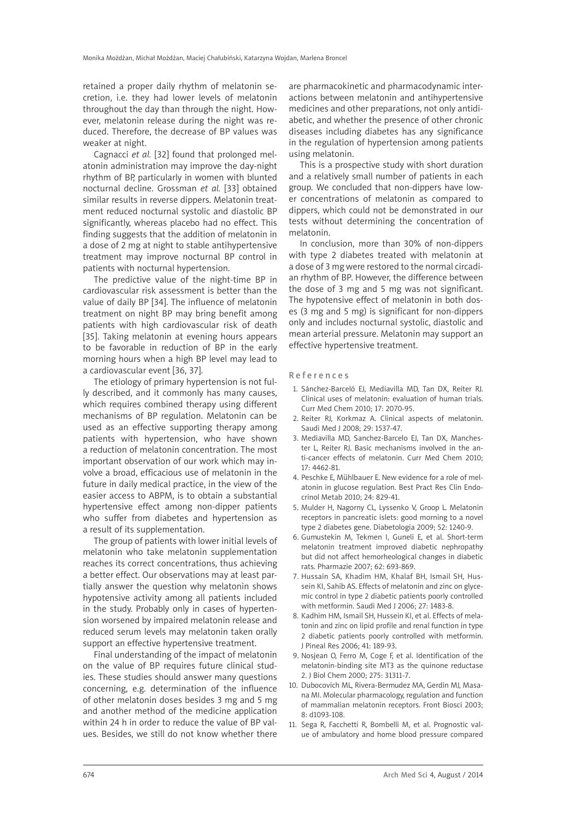retained a proper daily rhythm of melatonin secretion, i.e. they had lower levels of melatonin throughout the day than through the night. However, melatonin release during the night was reduced. Therefore, the decrease of BP values was weaker at night.

Cagnacci *et al.* [32] found that prolonged melatonin administration may improve the day-night rhythm of BP, particularly in women with blunted nocturnal decline. Grossman *et al.* [33] obtained similar results in reverse dippers. Melatonin treatment reduced nocturnal systolic and diastolic BP significantly, whereas placebo had no effect. This finding suggests that the addition of melatonin in a dose of 2 mg at night to stable antihypertensive treatment may improve nocturnal BP control in patients with nocturnal hypertension.

The predictive value of the night-time BP in cardiovascular risk assessment is better than the value of daily BP [34]. The influence of melatonin treatment on night BP may bring benefit among patients with high cardiovascular risk of death [35]. Taking melatonin at evening hours appears to be favorable in reduction of BP in the early morning hours when a high BP level may lead to a cardiovascular event [36, 37].

The etiology of primary hypertension is not fully described, and it commonly has many causes, which requires combined therapy using different mechanisms of BP regulation. Melatonin can be used as an effective supporting therapy among patients with hypertension, who have shown a reduction of melatonin concentration. The most important observation of our work which may involve a broad, efficacious use of melatonin in the future in daily medical practice, in the view of the easier access to ABPM, is to obtain a substantial hypertensive effect among non-dipper patients who suffer from diabetes and hypertension as a result of its supplementation.

The group of patients with lower initial levels of melatonin who take melatonin supplementation reaches its correct concentrations, thus achieving a better effect. Our observations may at least partially answer the question why melatonin shows hypotensive activity among all patients included in the study. Probably only in cases of hypertension worsened by impaired melatonin release and reduced serum levels may melatonin taken orally support an effective hypertensive treatment.

Final understanding of the impact of melatonin on the value of BP requires future clinical studies. These studies should answer many questions concerning, e.g. determination of the influence of other melatonin doses besides 3 mg and 5 mg and another method of the medicine application within 24 h in order to reduce the value of BP values. Besides, we still do not know whether there

are pharmacokinetic and pharmacodynamic interactions between melatonin and antihypertensive medicines and other preparations, not only antidiabetic, and whether the presence of other chronic diseases including diabetes has any significance in the regulation of hypertension among patients using melatonin.

This is a prospective study with short duration and a relatively small number of patients in each group. We concluded that non-dippers have lower concentrations of melatonin as compared to dippers, which could not be demonstrated in our tests without determining the concentration of melatonin.

In conclusion, more than 30% of non-dippers with type 2 diabetes treated with melatonin at a dose of 3 mg were restored to the normal circadian rhythm of BP. However, the difference between the dose of 3 mg and 5 mg was not significant. The hypotensive effect of melatonin in both doses (3 mg and 5 mg) is significant for non-dippers only and includes nocturnal systolic, diastolic and mean arterial pressure. Melatonin may support an effective hypertensive treatment.

#### References

- 1. Sánchez-Barceló EJ, Mediavilla MD, Tan DX, Reiter RJ. Clinical uses of melatonin: evaluation of human trials. Curr Med Chem 2010; 17: 2070-95.
- 2. Reiter RJ, Korkmaz A. Clinical aspects of melatonin. Saudi Med J 2008; 29: 1537-47.
- 3. Mediavilla MD, Sanchez-Barcelo EJ, Tan DX, Manchester L, Reiter RJ. Basic mechanisms involved in the anti-cancer effects of melatonin. Curr Med Chem 2010; 17: 4462-81.
- 4. Peschke E, Mühlbauer E. New evidence for a role of melatonin in glucose regulation. Best Pract Res Clin Endocrinol Metab 2010; 24: 829-41.
- 5. Mulder H, Nagorny CL, Lyssenko V, Groop L. Melatonin receptors in pancreatic islets: good morning to a novel type 2 diabetes gene. Diabetologia 2009; 52: 1240-9.
- 6. Gumustekin M, Tekmen I, Guneli E, et al. Short-term melatonin treatment improved diabetic nephropathy but did not affect hemorheological changes in diabetic rats. Pharmazie 2007; 62: 693-869.
- 7. Hussain SA, Khadim HM, Khalaf BH, Ismail SH, Hussein KI, Sahib AS. Effects of melatonin and zinc on glycemic control in type 2 diabetic patients poorly controlled with metformin. Saudi Med J 2006; 27: 1483-8.
- 8. Kadhim HM, Ismail SH, Hussein KI, et al. Effects of melatonin and zinc on lipid profile and renal function in type 2 diabetic patients poorly controlled with metformin. J Pineal Res 2006; 41: 189-93.
- 9. Nosjean O, Ferro M, Coge F, et al. Identification of the melatonin-binding site MT3 as the quinone reductase 2. J Biol Chem 2000; 275: 31311-7.
- 10. Dubocovich ML, Rivera-Bermudez MA, Gerdin MJ, Masana MI. Molecular pharmacology, regulation and function of mammalian melatonin receptors. Front Biosci 2003; 8: d1093-108.
- 11. Sega R, Facchetti R, Bombelli M, et al. Prognostic value of ambulatory and home blood pressure compared